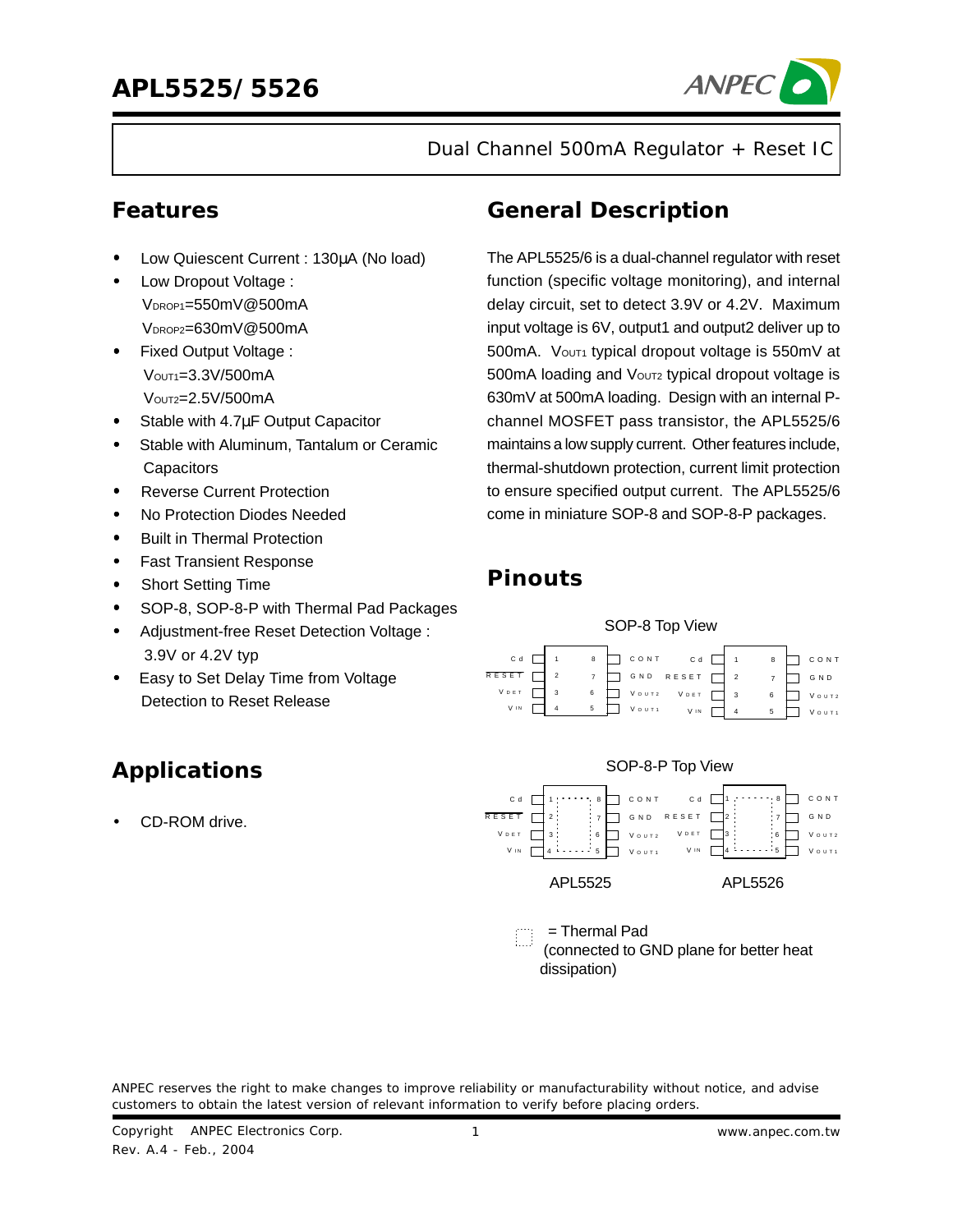

Dual Channel 500mA Regulator + Reset IC

- Low Quiescent Current : 130µA (No load)
- Low Dropout Voltage : VDROP1=550mV@500mA VDROP2=630mV@500mA
- Fixed Output Voltage : VOUT1=3.3V/500mA VOUT2=2.5V/500mA
- Stable with 4.7µF Output Capacitor
- Stable with Aluminum, Tantalum or Ceramic **Capacitors**
- Reverse Current Protection
- No Protection Diodes Needed
- Built in Thermal Protection
- Fast Transient Response
- Short Setting Time
- SOP-8, SOP-8-P with Thermal Pad Packages
- Adjustment-free Reset Detection Voltage : 3.9V or 4.2V typ
- Easy to Set Delay Time from Voltage Detection to Reset Release

# **Applications**

CD-ROM drive.

### **Features General Description**

The APL5525/6 is a dual-channel regulator with reset function (specific voltage monitoring), and internal delay circuit, set to detect 3.9V or 4.2V. Maximum input voltage is 6V, output1 and output2 deliver up to 500mA. Vout1 typical dropout voltage is 550mV at 500mA loading and Voutz typical dropout voltage is 630mV at 500mA loading. Design with an internal Pchannel MOSFET pass transistor, the APL5525/6 maintains a low supply current. Other features include, thermal-shutdown protection, current limit protection to ensure specified output current. The APL5525/6 come in miniature SOP-8 and SOP-8-P packages.

### **Pinouts**



ANPEC reserves the right to make changes to improve reliability or manufacturability without notice, and advise customers to obtain the latest version of relevant information to verify before placing orders.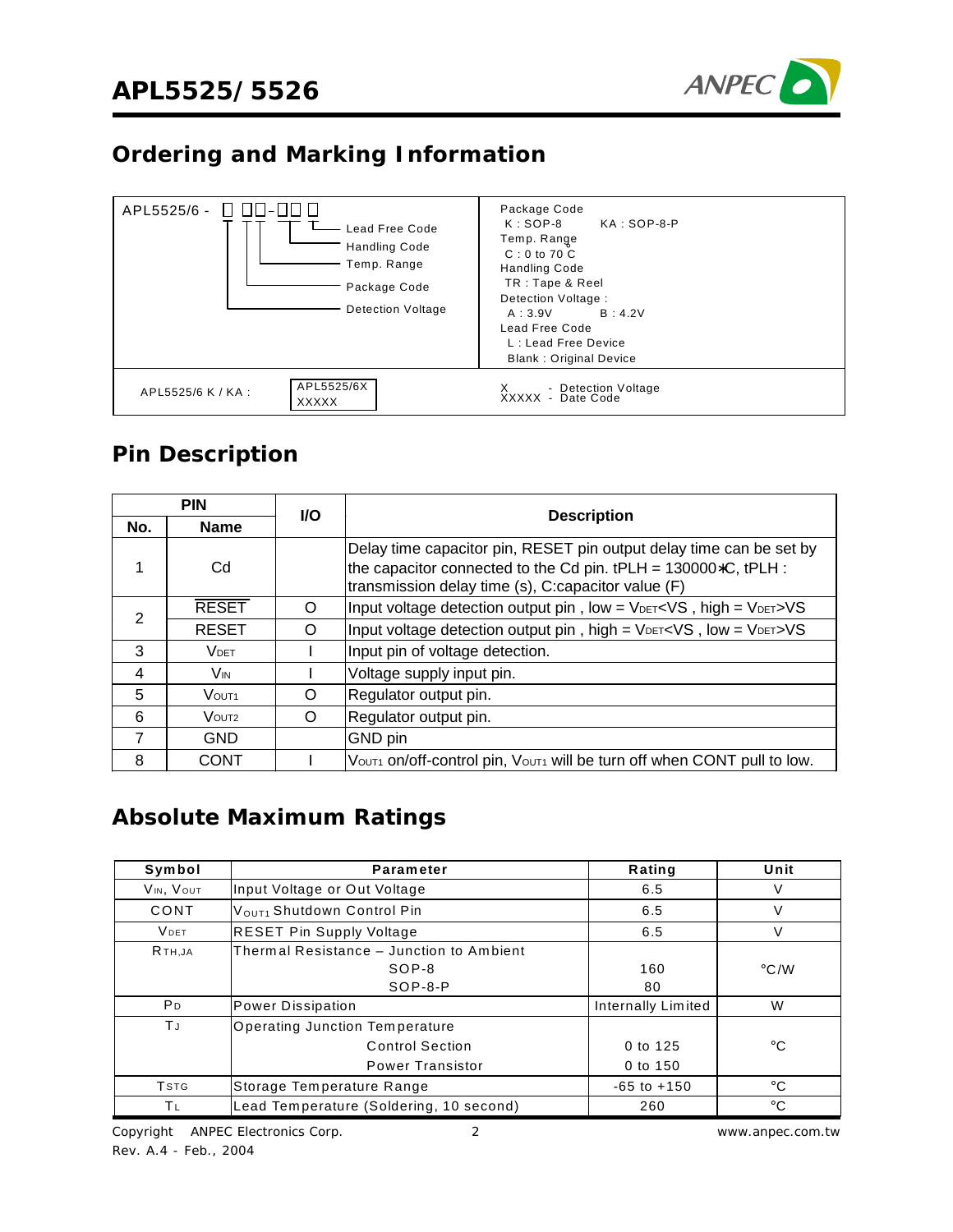

### **Ordering and Marking Information**



### **Pin Description**

|                   | <b>PIN</b>               | <b>I/O</b> |                                                                                                                                                                                                  |
|-------------------|--------------------------|------------|--------------------------------------------------------------------------------------------------------------------------------------------------------------------------------------------------|
| No.               | <b>Name</b>              |            | <b>Description</b>                                                                                                                                                                               |
|                   | Cd                       |            | Delay time capacitor pin, RESET pin output delay time can be set by<br>the capacitor connected to the Cd pin. $tPLH = 130000*C$ , $tPLH$ :<br>transmission delay time (s), C:capacitor value (F) |
| 2                 | <b>RESET</b>             | O          | Input voltage detection output pin, low = VDET <vs, high="VDET">VS</vs,>                                                                                                                         |
| <b>RESET</b><br>O |                          |            | Input voltage detection output pin, high = VDET <vs, low="VDET">VS</vs,>                                                                                                                         |
| 3                 | <b>VDET</b>              |            | Input pin of voltage detection.                                                                                                                                                                  |
| 4                 | <b>V<sub>IN</sub></b>    |            | Voltage supply input pin.                                                                                                                                                                        |
| 5                 | $V$ $O$ lit <sub>1</sub> | O          | Regulator output pin.                                                                                                                                                                            |
| 6                 | VOUT <sub>2</sub>        | O          | Regulator output pin.                                                                                                                                                                            |
| 7                 | <b>GND</b>               |            | GND pin                                                                                                                                                                                          |
| 8                 | <b>CONT</b>              |            | Vout1 on/off-control pin, Vout1 will be turn off when CONT pull to low.                                                                                                                          |

### **Absolute Maximum Ratings**

| Symbol                  | <b>Parameter</b>                                                             | Rating               | Unit          |
|-------------------------|------------------------------------------------------------------------------|----------------------|---------------|
| VIN, VOUT               | Input Voltage or Out Voltage                                                 | 6.5                  | V             |
| CONT                    | VOUT1 Shutdown Control Pin                                                   | 6.5                  | V             |
| <b>VDET</b>             | <b>RESET Pin Supply Voltage</b>                                              | 6.5                  | V             |
| R <sub>TH</sub> JA      | Thermal Resistance - Junction to Ambient<br>SOP-8<br>$SOP-8-P$               | 160<br>80            | $\degree$ C/W |
| P <sub>D</sub>          | Power Dissipation                                                            | Internally Limited   | W             |
| ΤJ                      | Operating Junction Temperature<br><b>Control Section</b><br>Power Transistor | 0 to 125<br>0 to 150 | $^{\circ}$ C  |
| <b>T</b> <sub>STG</sub> | Storage Temperature Range                                                    | $-65$ to $+150$      | $^{\circ}$ C  |
| ΤL                      | Lead Temperature (Soldering, 10 second)                                      | 260                  | $^{\circ}$ C  |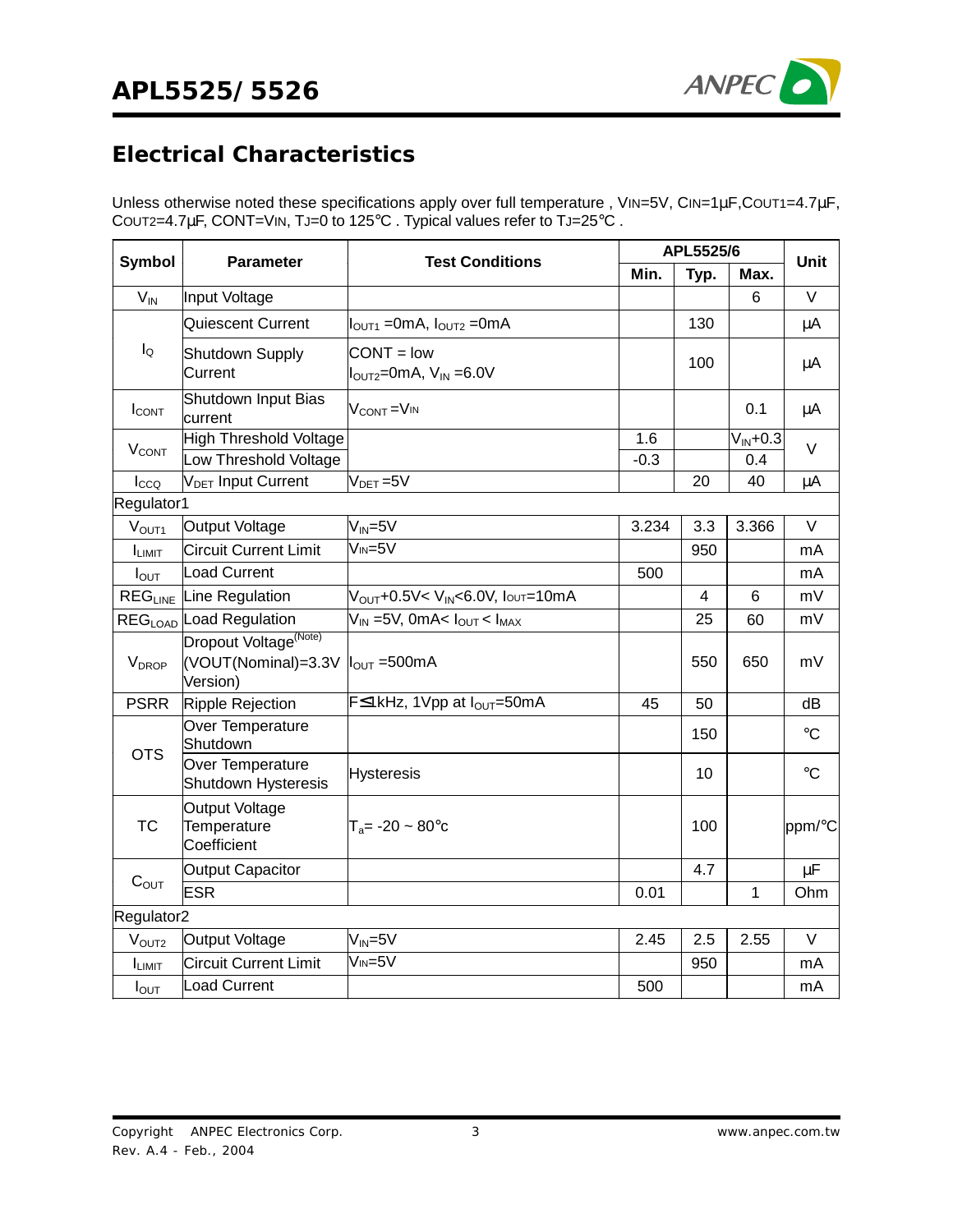

### **Electrical Characteristics**

Unless otherwise noted these specifications apply over full temperature, VIN=5V, CIN=1µF, COUT1=4.7µF, COUT2=4.7µF, CONT=VIN, TJ=0 to 125°C . Typical values refer to TJ=25°C .

|                          |                                                                      |                                                                   | APL5525/6     |      |                       | <b>Unit</b>     |
|--------------------------|----------------------------------------------------------------------|-------------------------------------------------------------------|---------------|------|-----------------------|-----------------|
| Symbol                   | <b>Parameter</b>                                                     | <b>Test Conditions</b>                                            | Min.          | Typ. | Max.                  |                 |
| $V_{IN}$                 | Input Voltage                                                        |                                                                   |               |      | 6                     | $\vee$          |
|                          | Quiescent Current                                                    | $IOUT1 = 0mA, IOUT2 = 0mA$                                        |               | 130  |                       | μA              |
| $I_{\mathsf{Q}}$         | Shutdown Supply<br>Current                                           | $CONT = low$<br>$I_{\text{OUT2}} = 0$ mA, $V_{\text{IN}} = 6.0 V$ |               | 100  |                       | μA              |
| $I_{CONT}$               | Shutdown Input Bias<br>current                                       | V <sub>CONT</sub> =V <sub>IN</sub>                                |               |      | 0.1                   | μA              |
| <b>V<sub>CONT</sub></b>  | <b>High Threshold Voltage</b><br>Low Threshold Voltage               |                                                                   | 1.6<br>$-0.3$ |      | $V_{IN} + 0.3$<br>0.4 | V               |
| Icco                     | V <sub>DET</sub> Input Current                                       | $V_{DET} = 5V$                                                    |               | 20   | 40                    | μA              |
| Regulator1               |                                                                      |                                                                   |               |      |                       |                 |
| V <sub>OUT1</sub>        | <b>Output Voltage</b>                                                | $V_{IN} = 5V$                                                     | 3.234         | 3.3  | 3.366                 | V               |
| I <sub>LIMIT</sub>       | <b>Circuit Current Limit</b>                                         | $V_{IN} = 5V$                                                     |               | 950  |                       | mA              |
| $I_{\text{OUT}}$         | <b>Load Current</b>                                                  |                                                                   | 500           |      |                       | mA              |
|                          | REG <sub>LINE</sub> Line Regulation                                  | V <sub>OUT</sub> +0.5V< V <sub>IN</sub> <6.0V, Iouτ=10mA          |               | 4    | 6                     | mV              |
|                          | REG <sub>LOAD</sub> Load Regulation                                  | $\overline{V_{IN}}$ =5V, 0mA< $I_{OUT}$ < $I_{MAX}$               |               | 25   | 60                    | mV              |
| <b>V</b> <sub>DROP</sub> | Dropout Voltage <sup>(Note)</sup><br>(VOUT(Nominal)=3.3V<br>Version) | $I_{\text{OUT}} = 500 \text{mA}$                                  |               | 550  | 650                   | mV              |
| <b>PSRR</b>              | Ripple Rejection                                                     | F≤1kHz, 1Vpp at I <sub>OUT</sub> =50mA                            | 45            | 50   |                       | dB              |
| <b>OTS</b>               | Over Temperature<br>Shutdown                                         |                                                                   |               | 150  |                       | $\rm ^{\circ}C$ |
|                          | Over Temperature<br>Shutdown Hysteresis                              | <b>Hysteresis</b>                                                 |               | 10   |                       | $\rm ^{\circ}C$ |
| <b>TC</b>                | Output Voltage<br>Temperature<br>Coefficient                         | $T_a = -20 \sim 80^{\circ}c$                                      |               | 100  |                       | ppm/°C          |
|                          | <b>Output Capacitor</b>                                              |                                                                   |               | 4.7  |                       | $\mu$ F         |
| $C_{OUT}$                | <b>ESR</b>                                                           |                                                                   | 0.01          |      | $\mathbf{1}$          | Ohm             |
| Regulator2               |                                                                      |                                                                   |               |      |                       |                 |
| V <sub>OUT2</sub>        | <b>Output Voltage</b>                                                | $V_{IN} = 5V$                                                     | 2.45          | 2.5  | 2.55                  | $\vee$          |
| I <sub>LIMIT</sub>       | <b>Circuit Current Limit</b>                                         | $V_{IN} = 5V$                                                     |               | 950  |                       | mA              |
| $I_{\text{OUT}}$         | <b>Load Current</b>                                                  |                                                                   | 500           |      |                       | mA              |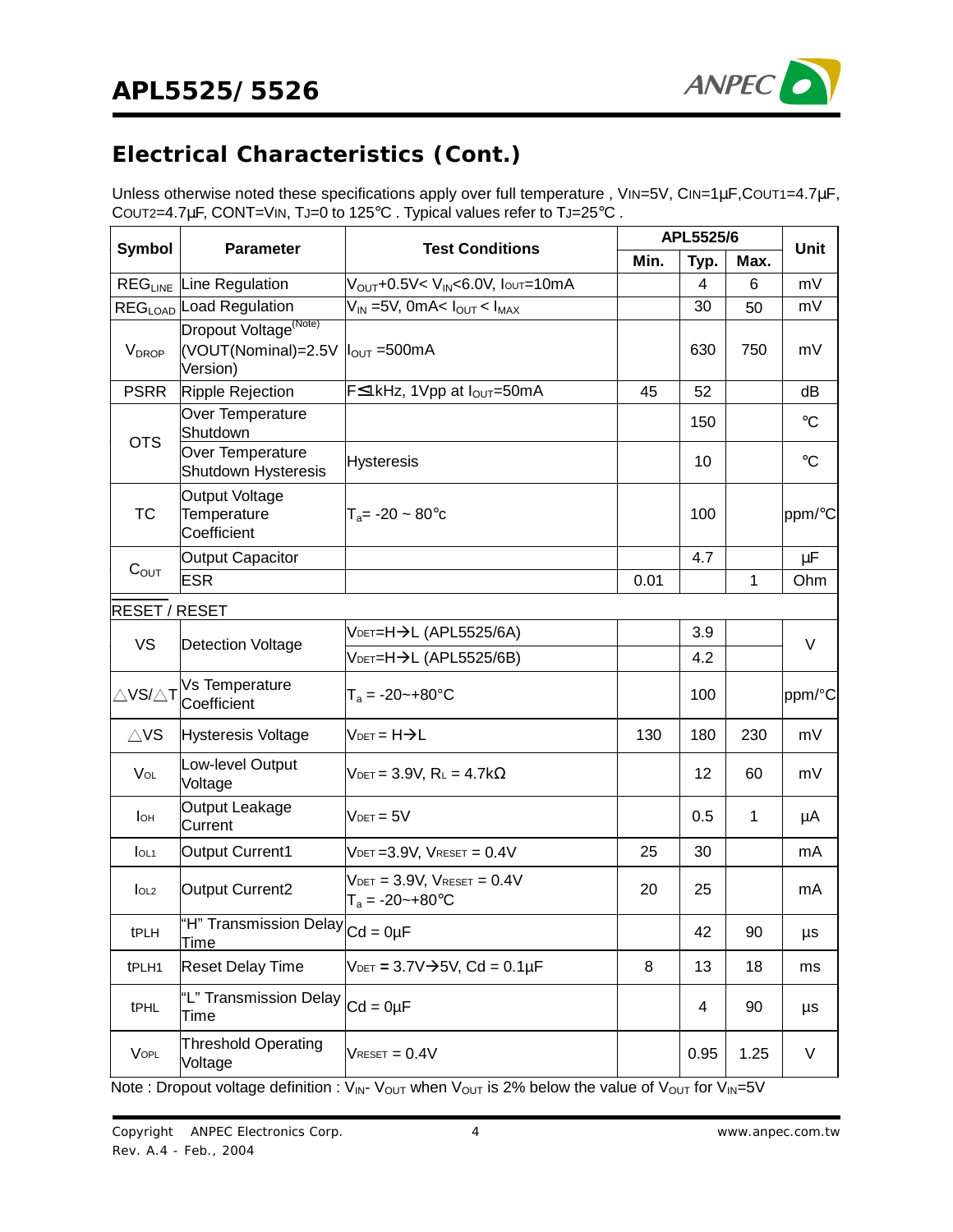

# **Electrical Characteristics (Cont.)**

Unless otherwise noted these specifications apply over full temperature, VIN=5V, CIN=1µF, COUT1=4.7µF, COUT2=4.7µF, CONT=VIN, TJ=0 to 125°C . Typical values refer to TJ=25°C .

| <b>Symbol</b>                 | <b>Parameter</b>                                                                              | <b>Test Conditions</b>                                                     | APL5525/6 |      |              | <b>Unit</b>     |
|-------------------------------|-----------------------------------------------------------------------------------------------|----------------------------------------------------------------------------|-----------|------|--------------|-----------------|
|                               |                                                                                               |                                                                            | Min.      | Typ. | Max.         |                 |
|                               | <b>REG<sub>LINE</sub></b> Line Regulation                                                     | V <sub>OUT</sub> +0.5V< V <sub>IN</sub> <6.0V, Ioυτ=10mA                   |           | 4    | 6            | mV              |
|                               | REG <sub>LOAD</sub> Load Regulation                                                           | $V_{IN}$ =5V, 0mA< $I_{OUT}$ < $I_{MAX}$                                   |           | 30   | 50           | mV              |
| <b>V</b> <sub>DROP</sub>      | Dropout Voltage <sup>(Note)</sup><br>(VOUT(Nominal)=2.5V  l <sub>OUT</sub> =500mA<br>Version) |                                                                            |           | 630  | 750          | mV              |
| <b>PSRR</b>                   | Ripple Rejection                                                                              | F≤1kHz, 1Vpp at l <sub>OUT</sub> =50mA                                     | 45        | 52   |              | dB              |
| <b>OTS</b>                    | Over Temperature<br>Shutdown                                                                  |                                                                            |           | 150  |              | $\rm ^{\circ}C$ |
|                               | Over Temperature<br>Shutdown Hysteresis                                                       | <b>Hysteresis</b>                                                          |           | 10   |              | $\rm ^{\circ}C$ |
| TC                            | <b>Output Voltage</b><br>Temperature<br>Coefficient                                           | $T_a = -20 - 80^{\circ}c$                                                  |           | 100  |              | ppm/°C          |
|                               | <b>Output Capacitor</b>                                                                       |                                                                            |           | 4.7  |              | μF              |
| $C_{OUT}$                     | <b>ESR</b>                                                                                    |                                                                            | 0.01      |      | $\mathbf{1}$ | Ohm             |
| RESET / RESET                 |                                                                                               |                                                                            |           |      |              |                 |
| <b>VS</b>                     |                                                                                               | VDET=H->L (APL5525/6A)                                                     |           | 3.9  |              | V               |
|                               | Detection Voltage                                                                             | VDET=H→L (APL5525/6В)                                                      |           | 4.2  |              |                 |
| $\triangle$ VS/ $\triangle$ T | Vs Temperature<br>Coefficient                                                                 | $T_a = -20 - +80$ °C                                                       |           | 100  |              | ppm/°C          |
| $\triangle$ VS                | Hysteresis Voltage                                                                            | $V$ DET = $H\rightarrow L$                                                 | 130       | 180  | 230          | mV              |
| $V_{OL}$                      | Low-level Output<br>Voltage                                                                   | $V_{\text{DET}} = 3.9V$ , $R_L = 4.7k\Omega$                               |           | 12   | 60           | mV              |
| lон                           | Output Leakage<br>Current                                                                     | $V$ det = 5 $V$                                                            |           | 0.5  | 1            | μA              |
| I <sub>OL1</sub>              | Output Current1                                                                               | $V_{\text{DET}} = 3.9V$ , $V_{\text{REST}} = 0.4V$                         | 25        | 30   |              | mA              |
| I <sub>OL2</sub>              | <b>Output Current2</b>                                                                        | $V_{\text{DET}} = 3.9V$ , $V_{\text{REST}} = 0.4V$<br>$T_a = -20 - +80$ °C | 20        | 25   |              | mA              |
| tPLH                          | "H" Transmission Delay $ _{\text{Cd}} = 0$ µF<br><b>Time</b>                                  |                                                                            |           | 42   | 90           | μs              |
| tPLH1                         | <b>Reset Delay Time</b>                                                                       | $V_{\text{DET}} = 3.7 \vee \rightarrow 5 \vee$ , Cd = 0.1µF                | 8         | 13   | 18           | ms              |
| tPHL                          | "L" Transmission Delay $ _{\text{Cd}} = 0$ µF<br><b>Time</b>                                  |                                                                            |           | 4    | 90           | μs              |
| VOPL                          | <b>Threshold Operating</b><br>Voltage                                                         | $V_{\text{RESET}} = 0.4V$                                                  |           | 0.95 | 1.25         | V               |

Note : Dropout voltage definition :  $V_{IN}$ -  $V_{OUT}$  when  $V_{OUT}$  is 2% below the value of  $V_{OUT}$  for  $V_{IN}$ =5V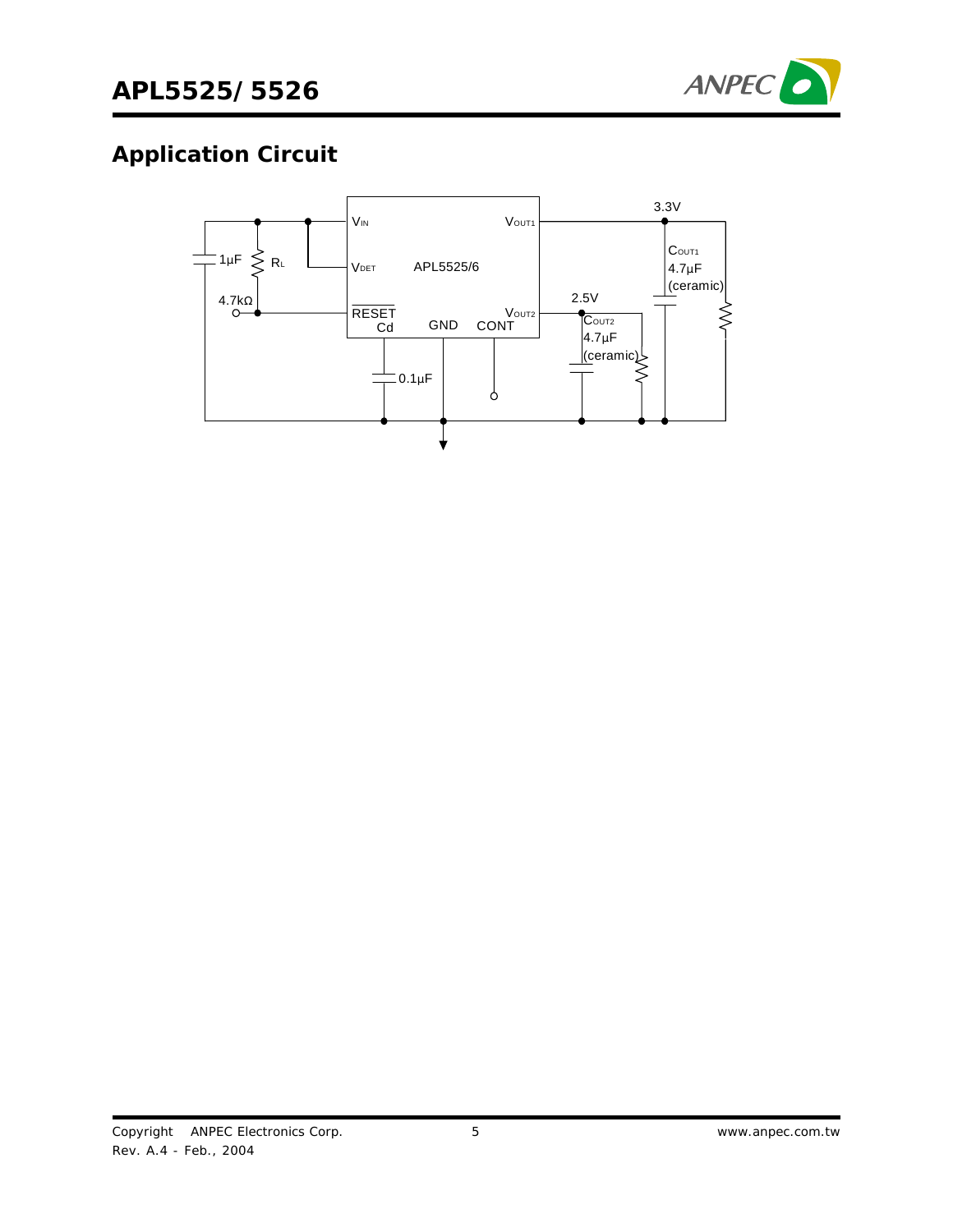

# **Application Circuit**

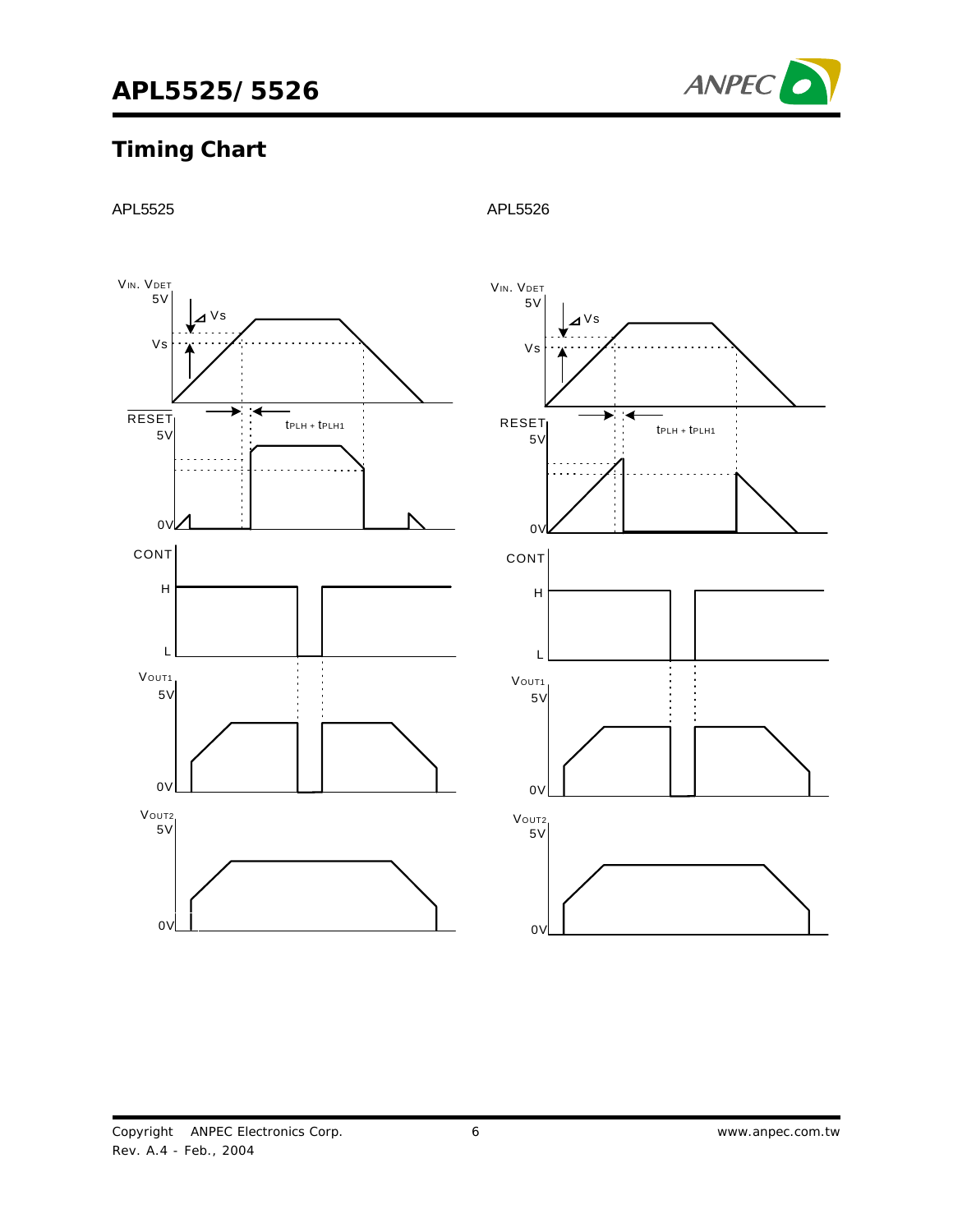

# **Timing Chart**



APL5525 APL5526

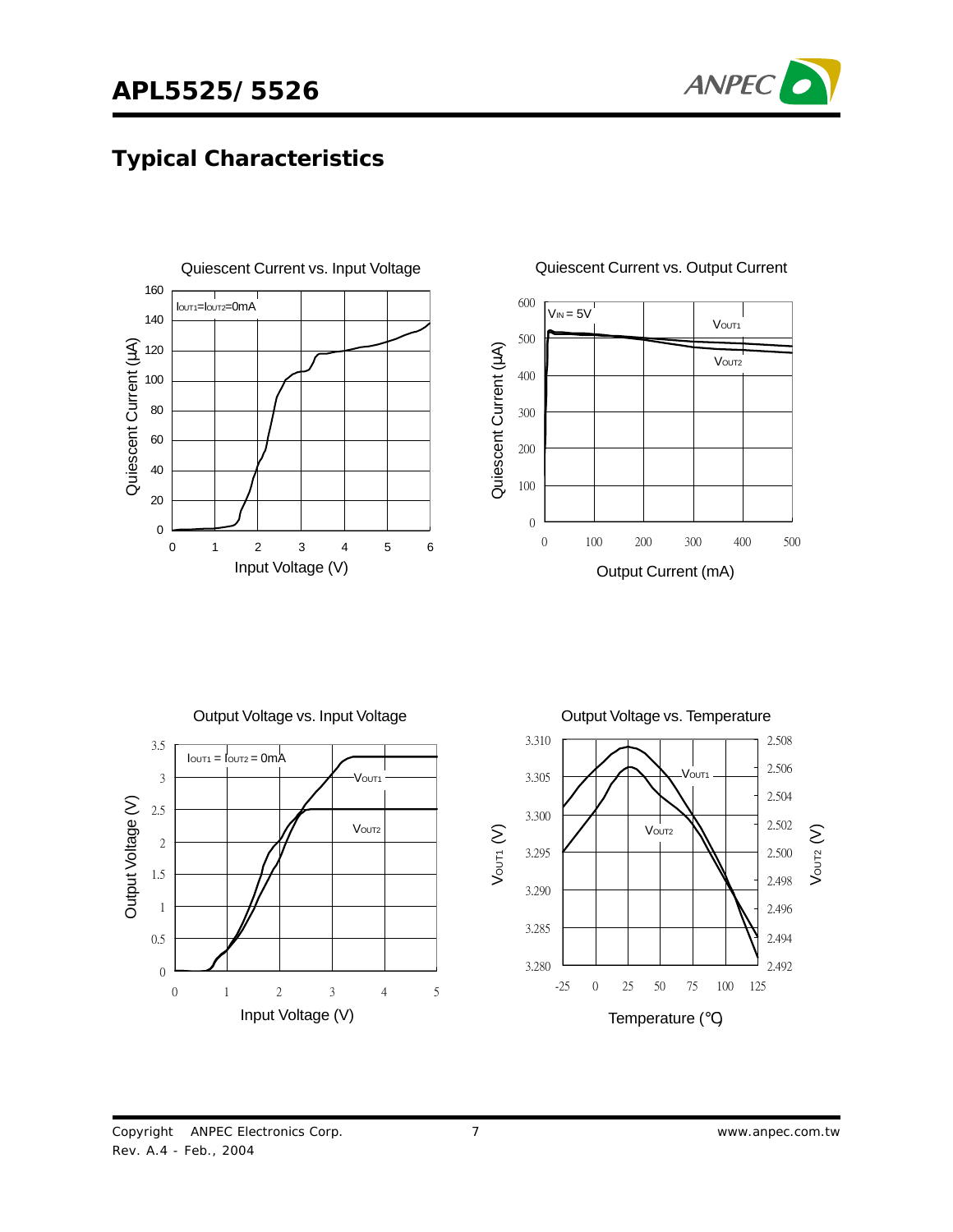

# **Typical Characteristics**





#### Quiescent Current vs. Output Current



Copyright © ANPEC Electronics Corp. Rev. A.4 - Feb., 2004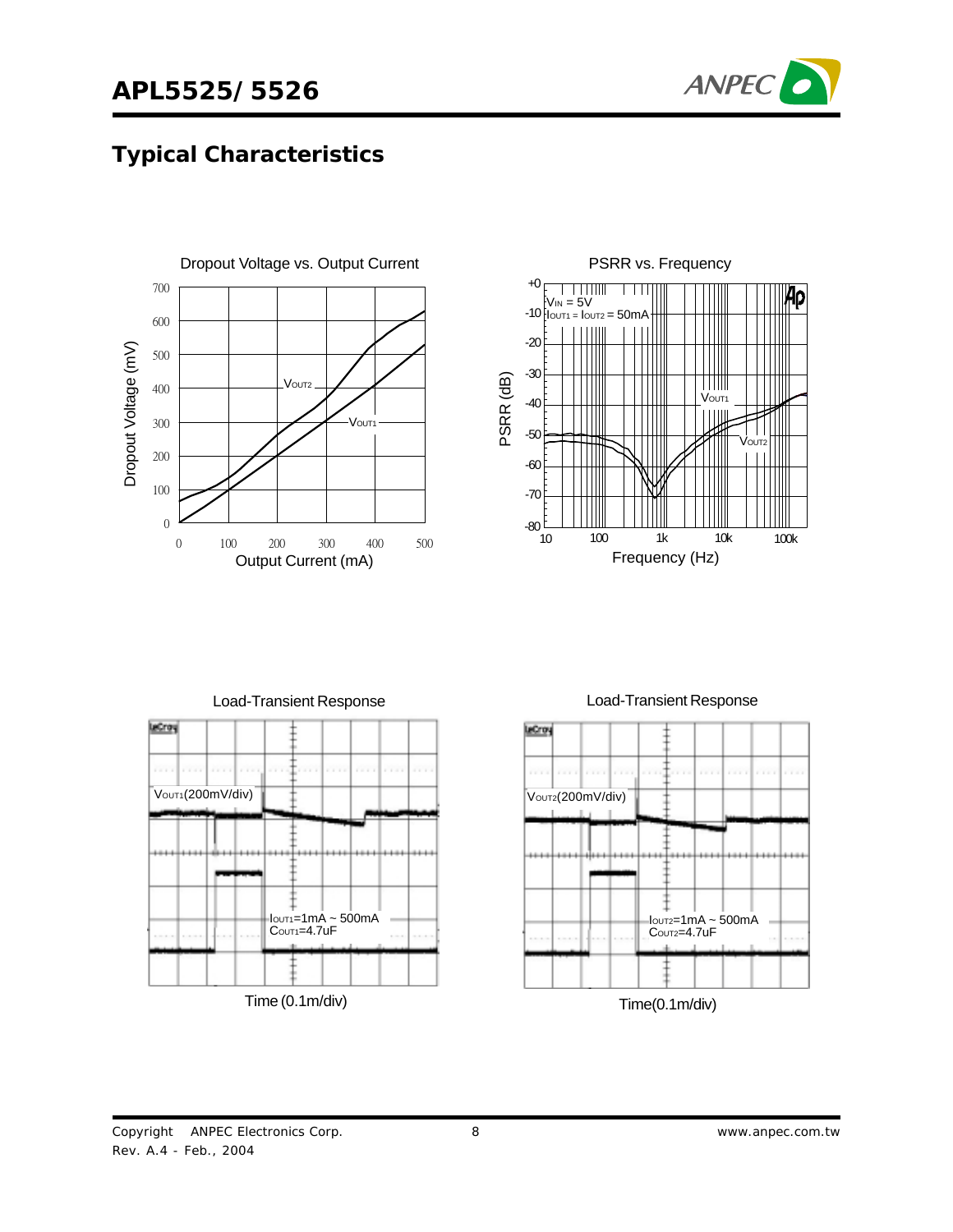# **APL5525/5526**



### **Typical Characteristics**









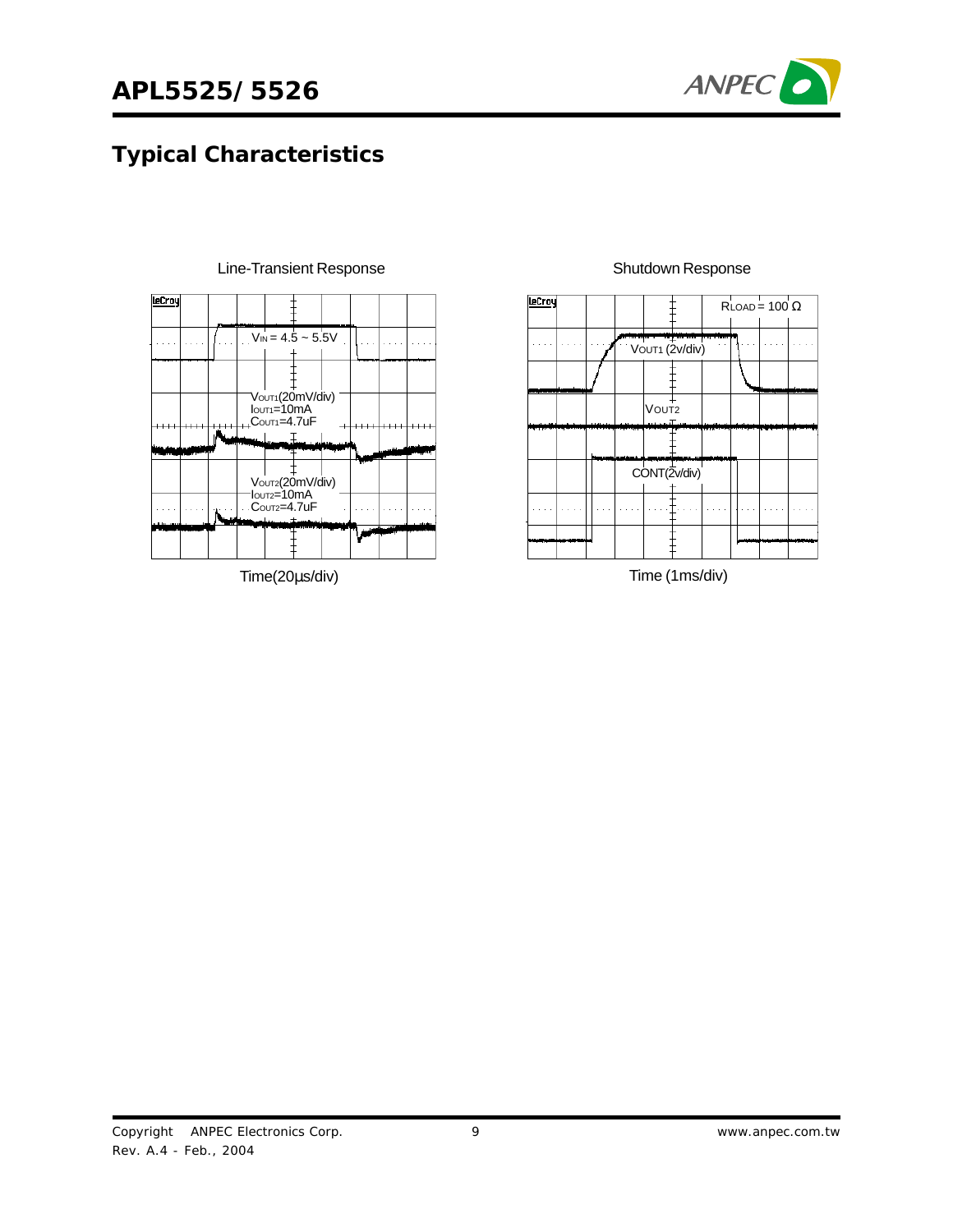

# **Typical Characteristics**



Line-Transient Response

Time(20µs/div)



#### Shutdown Response

Time (1ms/div)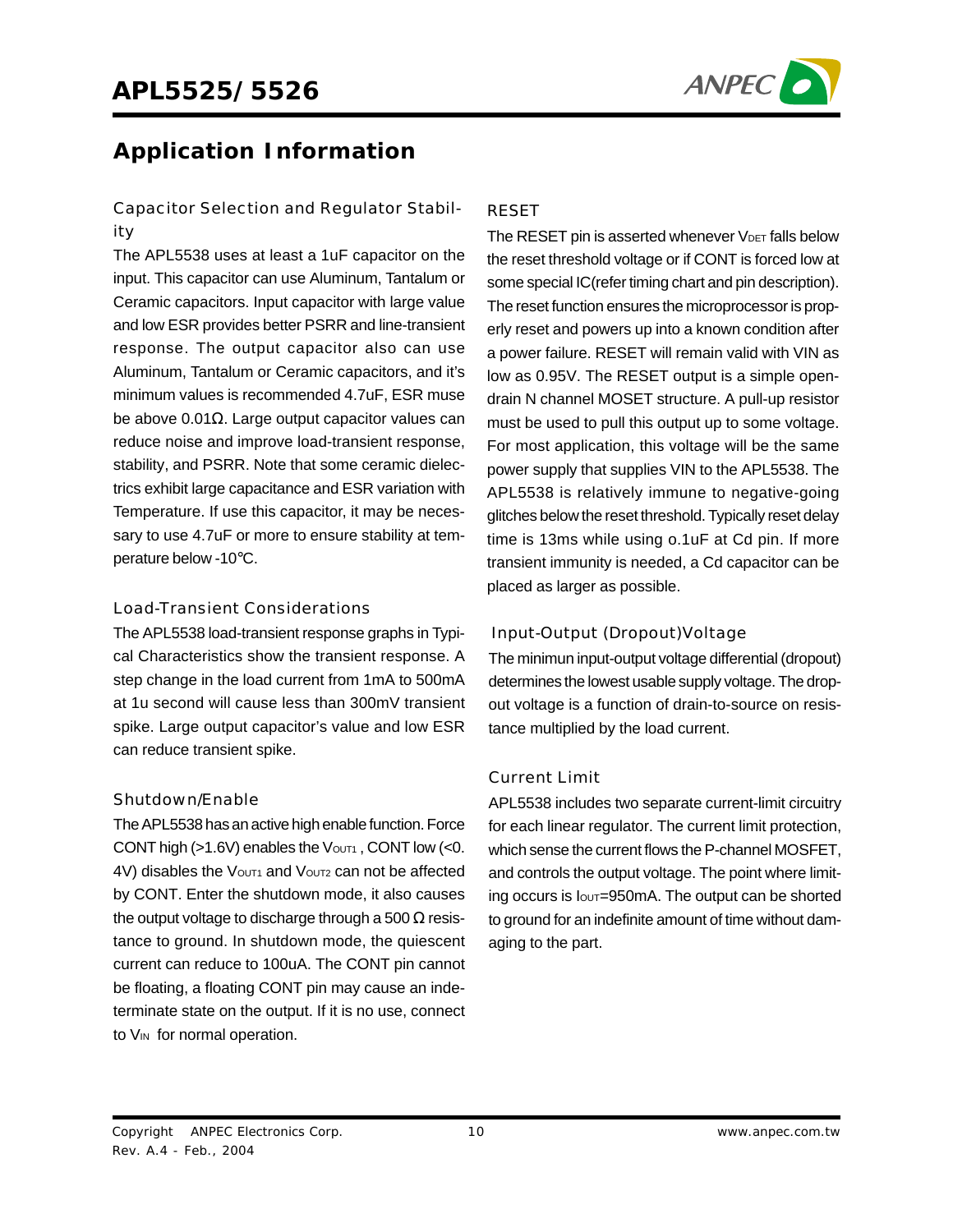

### **Application Information**

### Capacitor Selection and Regulator Stability

The APL5538 uses at least a 1uF capacitor on the input. This capacitor can use Aluminum, Tantalum or Ceramic capacitors. Input capacitor with large value and low ESR provides better PSRR and line-transient response. The output capacitor also can use Aluminum, Tantalum or Ceramic capacitors, and it's minimum values is recommended 4.7uF, ESR muse be above 0.01 $Ω$ . Large output capacitor values can reduce noise and improve load-transient response, stability, and PSRR. Note that some ceramic dielectrics exhibit large capacitance and ESR variation with Temperature. If use this capacitor, it may be necessary to use 4.7uF or more to ensure stability at temperature below -10°C.

#### Load-Transient Considerations

The APL5538 load-transient response graphs in Typical Characteristics show the transient response. A step change in the load current from 1mA to 500mA at 1u second will cause less than 300mV transient spike. Large output capacitor's value and low ESR can reduce transient spike.

#### Shutdown/Enable

The APL5538 has an active high enable function. Force CONT high ( $>1.6V$ ) enables the Vout<sub>1</sub>, CONT low (<0. 4V) disables the Vout1 and Vout2 can not be affected by CONT. Enter the shutdown mode, it also causes the output voltage to discharge through a 500  $\Omega$  resistance to ground. In shutdown mode, the quiescent current can reduce to 100uA. The CONT pin cannot be floating, a floating CONT pin may cause an indeterminate state on the output. If it is no use, connect to V<sub>IN</sub> for normal operation.

#### RESET

The RESET pin is asserted whenever  $V_{\text{DET}}$  falls below the reset threshold voltage or if CONT is forced low at some special IC(refer timing chart and pin description). The reset function ensures the microprocessor is properly reset and powers up into a known condition after a power failure. RESET will remain valid with VIN as low as 0.95V. The RESET output is a simple opendrain N channel MOSET structure. A pull-up resistor must be used to pull this output up to some voltage. For most application, this voltage will be the same power supply that supplies VIN to the APL5538. The APL5538 is relatively immune to negative-going glitches below the reset threshold. Typically reset delay time is 13ms while using o.1uF at Cd pin. If more transient immunity is needed, a Cd capacitor can be placed as larger as possible.

### Input-Output (Dropout)Voltage

The minimun input-output voltage differential (dropout) determines the lowest usable supply voltage. The dropout voltage is a function of drain-to-source on resistance multiplied by the load current.

### Current Limit

APL5538 includes two separate current-limit circuitry for each linear regulator. The current limit protection, which sense the current flows the P-channel MOSFET, and controls the output voltage. The point where limiting occurs is lout=950mA. The output can be shorted to ground for an indefinite amount of time without damaging to the part.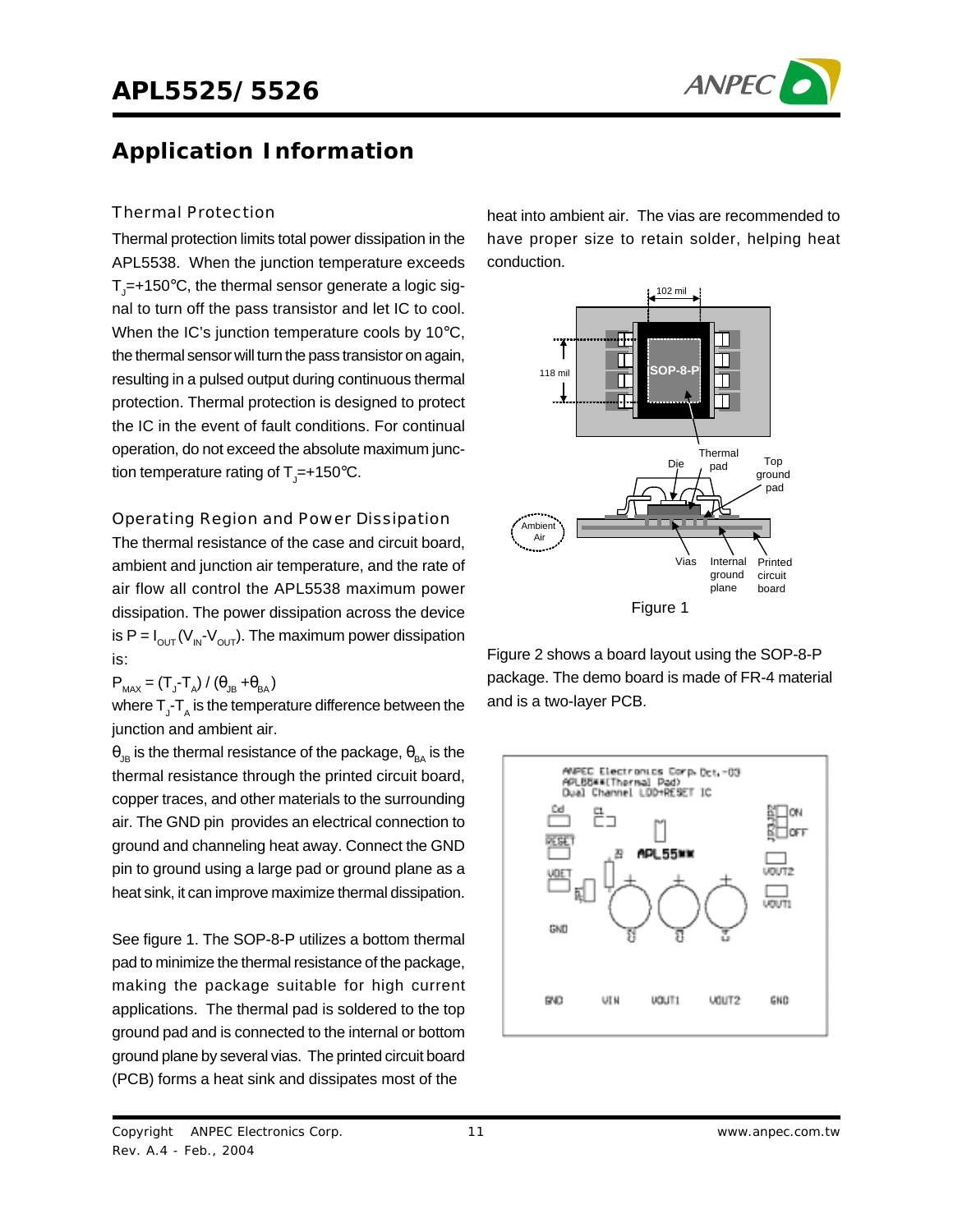

# **Application Information**

#### Thermal Protection

Thermal protection limits total power dissipation in the APL5538. When the junction temperature exceeds  ${\sf T}_{{\sf J}}$ =+150°C, the thermal sensor generate a logic signal to turn off the pass transistor and let IC to cool. When the IC's junction temperature cools by 10°C, the thermal sensor will turn the pass transistor on again, resulting in a pulsed output during continuous thermal protection. Thermal protection is designed to protect the IC in the event of fault conditions. For continual operation, do not exceed the absolute maximum junction temperature rating of T<sub>J</sub>=+150°C.

#### Operating Region and Power Dissipation

The thermal resistance of the case and circuit board, ambient and junction air temperature, and the rate of air flow all control the APL5538 maximum power dissipation. The power dissipation across the device is P =  $I_{\text{OUT}}(V_{\text{IN}}-V_{\text{OUT}})$ . The maximum power dissipation is:

 $P_{MAX} = (T_{J} - T_{A}) / (\theta_{JB} + \theta_{BA})$ 

where  $\mathsf{T}_{\mathsf{J}}\text{-}\mathsf{T}_{\mathsf{A}}$  is the temperature difference between the junction and ambient air.

 $\theta_{\text{JB}}$  is the thermal resistance of the package,  $\theta_{\text{BA}}$  is the thermal resistance through the printed circuit board, copper traces, and other materials to the surrounding air. The GND pin provides an electrical connection to ground and channeling heat away. Connect the GND pin to ground using a large pad or ground plane as a heat sink, it can improve maximize thermal dissipation.

See figure 1. The SOP-8-P utilizes a bottom thermal pad to minimize the thermal resistance of the package, making the package suitable for high current applications. The thermal pad is soldered to the top ground pad and is connected to the internal or bottom ground plane by several vias. The printed circuit board (PCB) forms a heat sink and dissipates most of the

heat into ambient air. The vias are recommended to have proper size to retain solder, helping heat conduction.



Figure 2 shows a board layout using the SOP-8-P package. The demo board is made of FR-4 material and is a two-layer PCB.

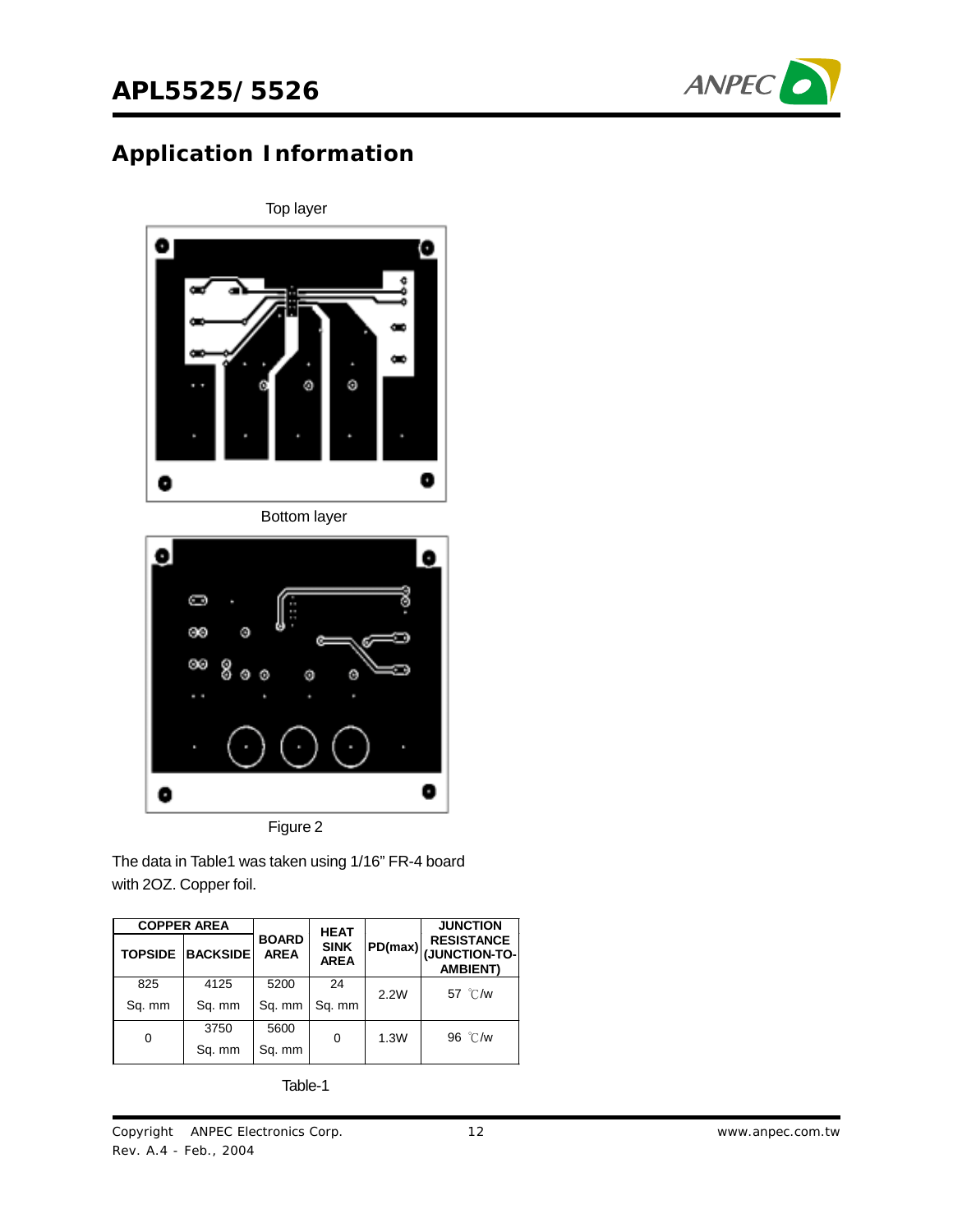

# **Application Information**



The data in Table1 was taken using 1/16" FR-4 board

with 2OZ. Copper foil.

| <b>COPPER AREA</b> |                 | <b>HEAT</b>                 |                            |      | <b>JUNCTION</b>                                                    |
|--------------------|-----------------|-----------------------------|----------------------------|------|--------------------------------------------------------------------|
| <b>TOPSIDE</b>     | <b>BACKSIDE</b> | <b>BOARD</b><br><b>AREA</b> | <b>SINK</b><br><b>AREA</b> |      | <b>RESISTANCE</b><br> PD(max) <br> JUNCTION-TO-<br><b>AMBIENT)</b> |
| 825                | 4125            | 5200                        | 24                         | 2.2W | 57 °C/w                                                            |
| Sq. mm             | Sq. mm          | Sq. mm                      | Sq. mm                     |      |                                                                    |
|                    | 3750            | 5600                        |                            |      | 96 °C/w                                                            |
| 0                  | Sq. mm          | Sq. mm                      | 0                          | 1.3W |                                                                    |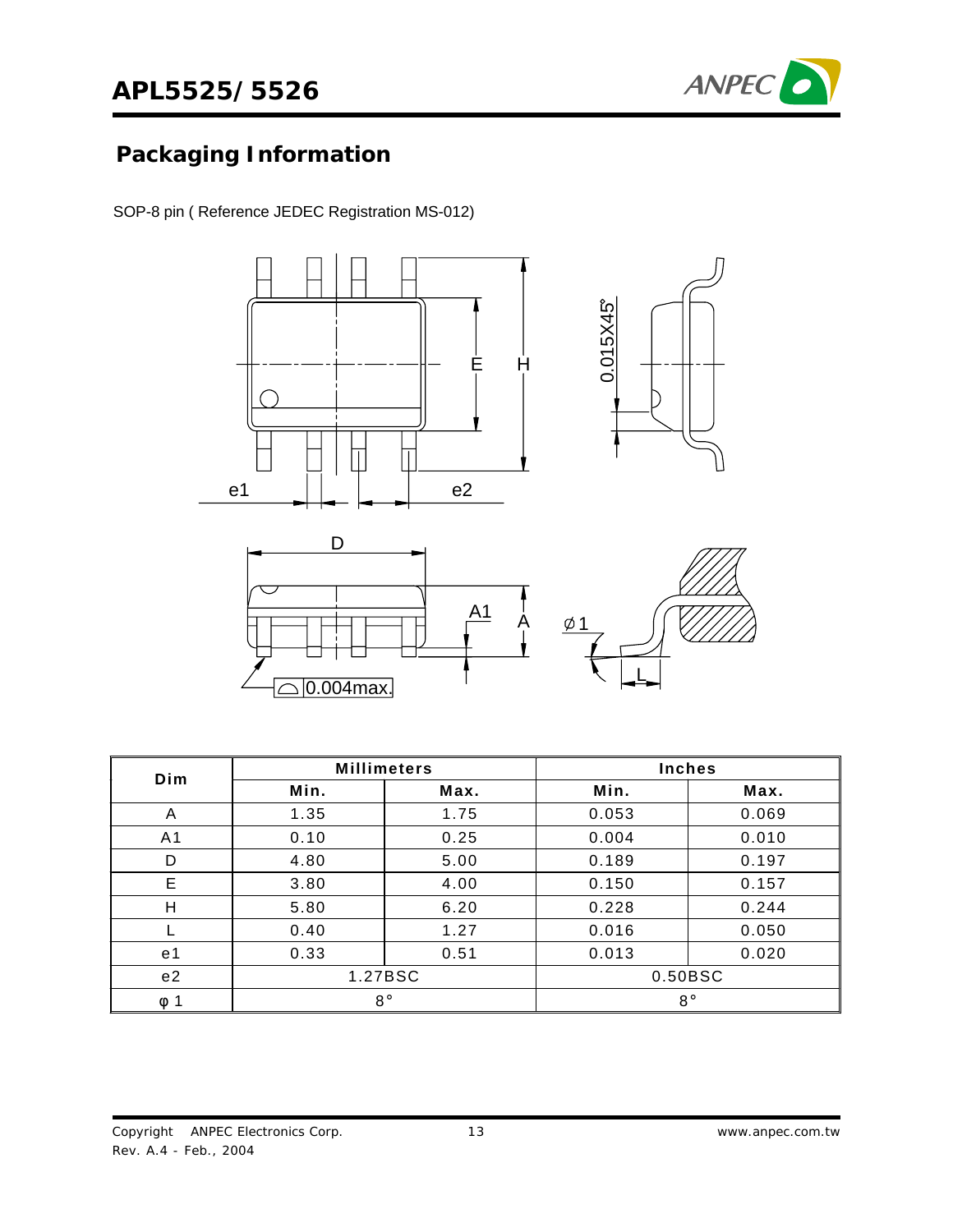

# **Packaging Information**

SOP-8 pin ( Reference JEDEC Registration MS-012)







| Dim                   |         | <b>Millimeters</b> | <b>Inches</b> |       |  |
|-----------------------|---------|--------------------|---------------|-------|--|
|                       | Min.    | Max.               | Min.          | Max.  |  |
| A                     | 1.35    | 1.75               | 0.053         | 0.069 |  |
| A1                    | 0.10    | 0.25               | 0.004         | 0.010 |  |
| D                     | 4.80    | 5.00               | 0.189         | 0.197 |  |
| E                     | 3.80    | 4.00               | 0.150         | 0.157 |  |
| Н                     | 5.80    | 6.20               | 0.228         | 0.244 |  |
|                       | 0.40    | 1.27               | 0.016         | 0.050 |  |
| e 1                   | 0.33    | 0.51               | 0.013         | 0.020 |  |
| e <sub>2</sub>        | 1.27BSC |                    | 0.50BSC       |       |  |
| $\mathbf 1$<br>$\phi$ |         | $8^{\circ}$        | $8^{\circ}$   |       |  |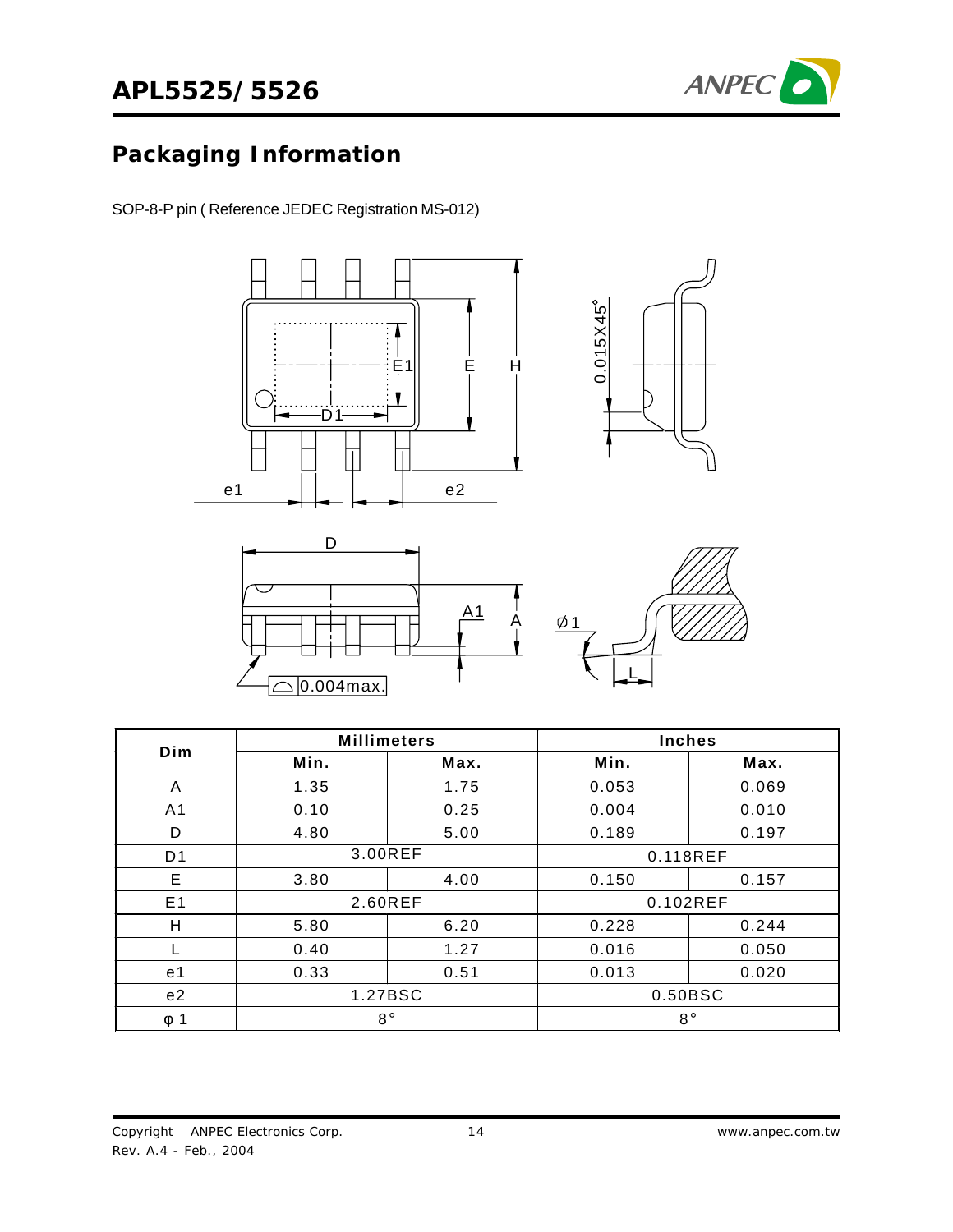

# **Packaging Information**

SOP-8-P pin ( Reference JEDEC Registration MS-012)

 $\sqrt{0.004}$ max.



| Dim            | <b>Millimeters</b> |         | <b>Inches</b> |       |  |
|----------------|--------------------|---------|---------------|-------|--|
|                | Min.               | Max.    | Min.          | Max.  |  |
| A              | 1.35               | 1.75    | 0.053         | 0.069 |  |
| A <sub>1</sub> | 0.10               | 0.25    | 0.004         | 0.010 |  |
| D              | 4.80               | 5.00    | 0.189         | 0.197 |  |
| D <sub>1</sub> | 3.00REF            |         | 0.118REF      |       |  |
| E              | 3.80               | 4.00    | 0.150         | 0.157 |  |
| E <sub>1</sub> | 2.60REF            |         | 0.102REF      |       |  |
| Н              | 5.80               | 6.20    | 0.228         | 0.244 |  |
|                | 0.40               | 1.27    | 0.016         | 0.050 |  |
| e <sub>1</sub> | 0.33               | 0.51    | 0.013         | 0.020 |  |
| e <sub>2</sub> |                    | 1.27BSC | 0.50BSC       |       |  |
| 1<br>Φ         | $8^{\circ}$        |         | $8^{\circ}$   |       |  |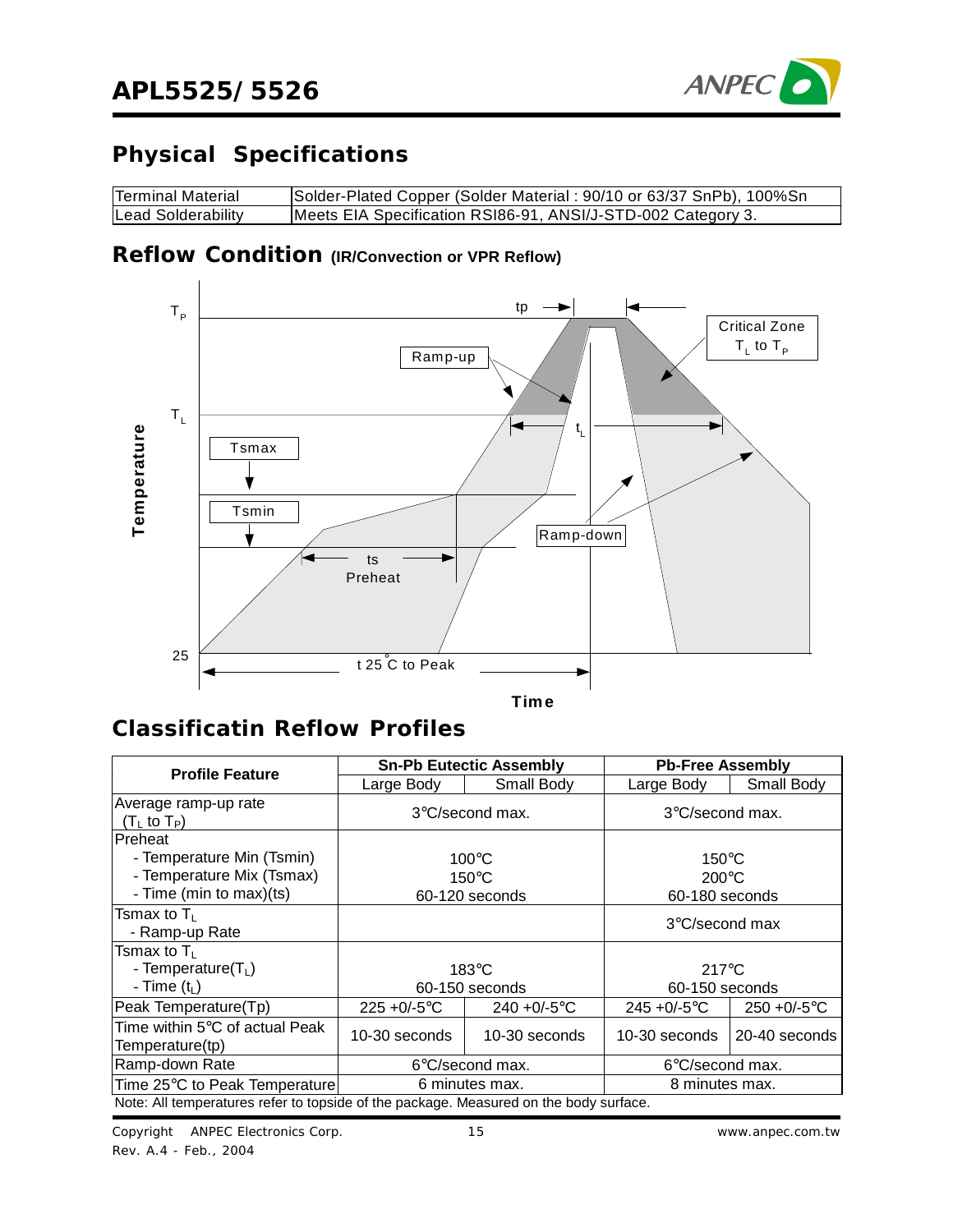

# **Physical Specifications**

| Terminal Material  | Solder-Plated Copper (Solder Material: 90/10 or 63/37 SnPb), 100%Sn |
|--------------------|---------------------------------------------------------------------|
| Lead Solderability | Meets EIA Specification RSI86-91, ANSI/J-STD-002 Category 3.        |

### **Reflow Condition (IR/Convection or VPR Reflow)**



### **Classificatin Reflow Profiles**

| <b>Profile Feature</b>                                                                              |                                                      | <b>Sn-Pb Eutectic Assembly</b> | <b>Pb-Free Assembly</b>                              |                 |  |
|-----------------------------------------------------------------------------------------------------|------------------------------------------------------|--------------------------------|------------------------------------------------------|-----------------|--|
|                                                                                                     | Large Body                                           | Small Body                     | Large Body                                           | Small Body      |  |
| Average ramp-up rate<br>(T $_{\rm L}$ to T $_{\rm P})$                                              | $3^{\circ}$ C/second max.                            |                                | $3^{\circ}$ C/second max.                            |                 |  |
| <b>Preheat</b><br>- Temperature Min (Tsmin)<br>- Temperature Mix (Tsmax)<br>- Time (min to max)(ts) | $100^{\circ}$ C<br>$150^{\circ}$ C<br>60-120 seconds |                                | $150^{\circ}$ C<br>$200^{\circ}$ C<br>60-180 seconds |                 |  |
| Tsmax to T∟<br>- Ramp-up Rate                                                                       |                                                      |                                | $3^{\circ}$ C/second max                             |                 |  |
| Tsmax to T∟<br>- Temperature $(T_L)$<br>- Time $(t_L)$                                              | $183^\circ C$<br>60-150 seconds                      |                                | $217^{\circ}$ C<br>60-150 seconds                    |                 |  |
| Peak Temperature(Tp)                                                                                | $225 + 0/-5$ °C                                      | $240 + 0/-5$ °C                | $245 + 0/-5$ °C                                      | $250 + 0/-5$ °C |  |
| Time within 5°C of actual Peak.<br>Temperature(tp)                                                  | 10-30 seconds                                        | 10-30 seconds                  | 10-30 seconds                                        | 20-40 seconds   |  |
| Ramp-down Rate                                                                                      |                                                      | 6°C/second max.                | 6°C/second max.                                      |                 |  |
| Time 25°C to Peak Temperature                                                                       |                                                      | 6 minutes max.                 | 8 minutes max.                                       |                 |  |
| Note: All temperatures refer to topside of the package. Measured on the body surface.               |                                                      |                                |                                                      |                 |  |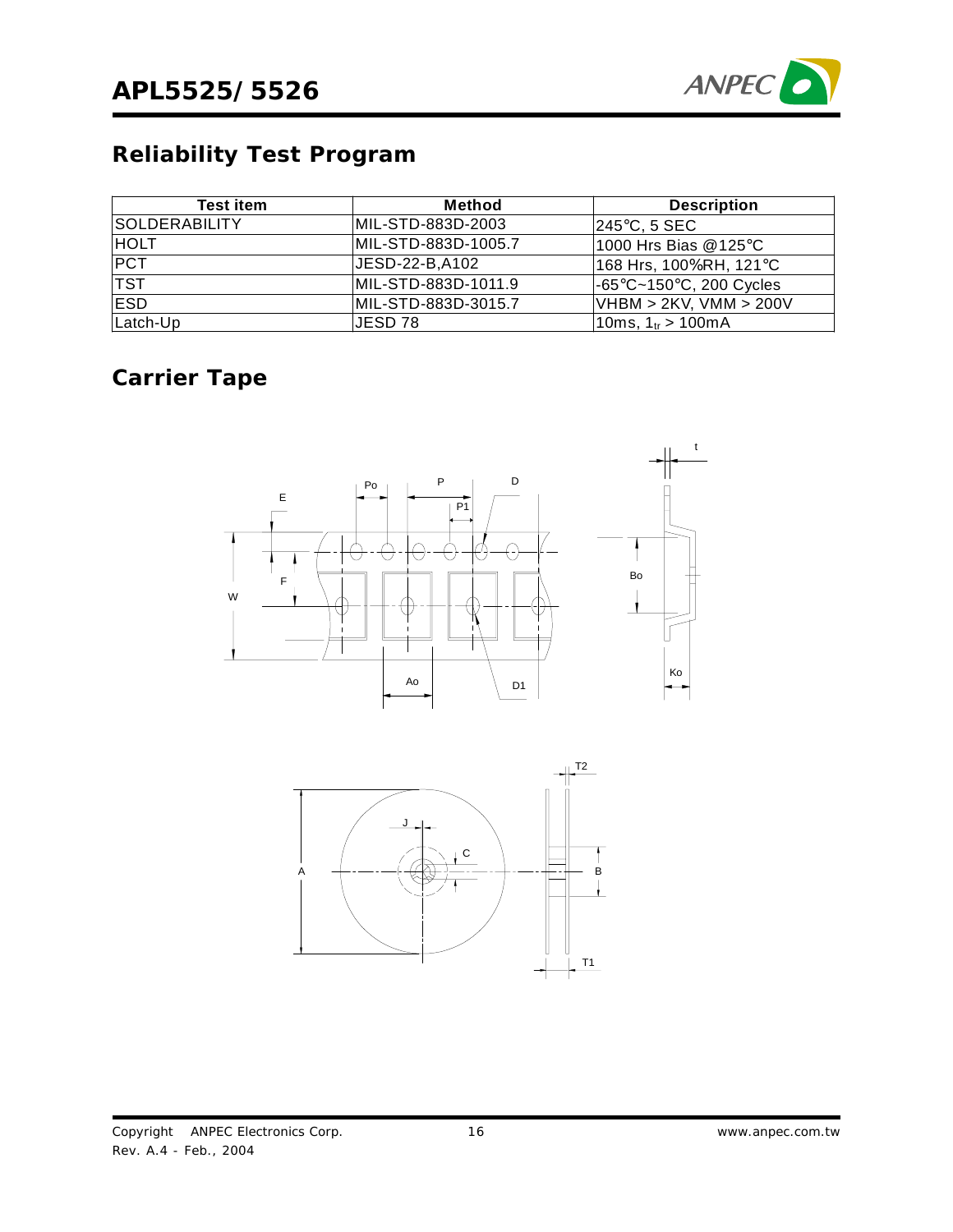

# **Reliability Test Program**

| <b>Test item</b>     | Method              | <b>Description</b>                           |
|----------------------|---------------------|----------------------------------------------|
| <b>SOLDERABILITY</b> | MIL-STD-883D-2003   | 245°C, 5 SEC                                 |
| <b>HOLT</b>          | MIL-STD-883D-1005.7 | 1000 Hrs Bias @125°C                         |
| <b>PCT</b>           | JESD-22-B, A102     | 168 Hrs, 100%RH, 121°C                       |
| <b>TST</b>           | MIL-STD-883D-1011.9 | $-65^{\circ}$ C~150 $^{\circ}$ C, 200 Cycles |
| <b>ESD</b>           | MIL-STD-883D-3015.7 | VHBM > 2KV, VMM > 200V                       |
| Latch-Up             | JESD 78             | 10ms, 1 $_{tr}$ > 100mA                      |

# **Carrier Tape**